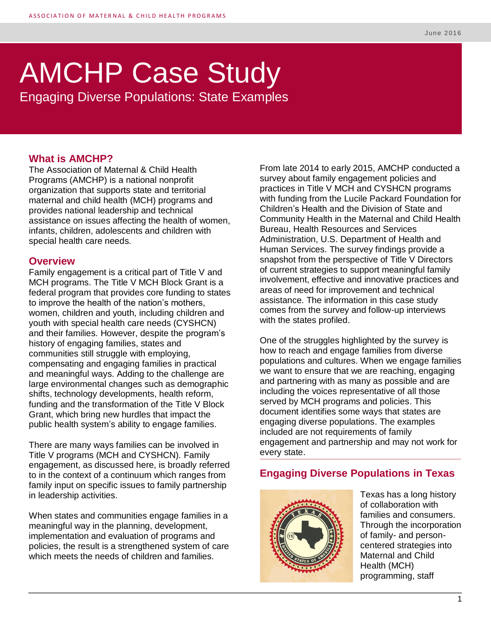# AMCHP Case Study

Engaging Diverse Populations: State Examples

## **What is AMCHP?**

The Association of Maternal & Child Health Programs (AMCHP) is a national nonprofit organization that supports state and territorial maternal and child health (MCH) programs and provides national leadership and technical assistance on issues affecting the health of women, infants, children, adolescents and children with special health care needs.

#### **Overview**

Family engagement is a critical part of Title V and MCH programs. The Title V MCH Block Grant is a federal program that provides core funding to states to improve the health of the nation's mothers, women, children and youth, including children and youth with special health care needs (CYSHCN) and their families. However, despite the program's history of engaging families, states and communities still struggle with employing. compensating and engaging families in practical and meaningful ways. Adding to the challenge are large environmental changes such as demographic shifts, technology developments, health reform, funding and the transformation of the Title V Block Grant, which bring new hurdles that impact the public health system's ability to engage families.

There are many ways families can be involved in Title V programs (MCH and CYSHCN). Family engagement, as discussed here, is broadly referred to in the context of a continuum which ranges from family input on specific issues to family partnership in leadership activities.

When states and communities engage families in a meaningful way in the planning, development, implementation and evaluation of programs and policies, the result is a strengthened system of care which meets the needs of children and families.

From late 2014 to early 2015, AMCHP conducted a survey about family engagement policies and practices in Title V MCH and CYSHCN programs with funding from the Lucile Packard Foundation for Children's Health and the Division of State and Community Health in the Maternal and Child Health Bureau, Health Resources and Services Administration, U.S. Department of Health and Human Services. The survey findings provide a snapshot from the perspective of Title V Directors of current strategies to support meaningful family involvement, effective and innovative practices and areas of need for improvement and technical assistance. The information in this case study comes from the survey and follow-up interviews with the states profiled.

One of the struggles highlighted by the survey is how to reach and engage families from diverse populations and cultures. When we engage families we want to ensure that we are reaching, engaging and partnering with as many as possible and are including the voices representative of all those served by MCH programs and policies. This document identifies some ways that states are engaging diverse populations. The examples included are not requirements of family engagement and partnership and may not work for every state.

# **Engaging Diverse Populations in Texas**



Texas has a long history of collaboration with families and consumers. Through the incorporation of family- and personcentered strategies into Maternal and Child Health (MCH) programming, staff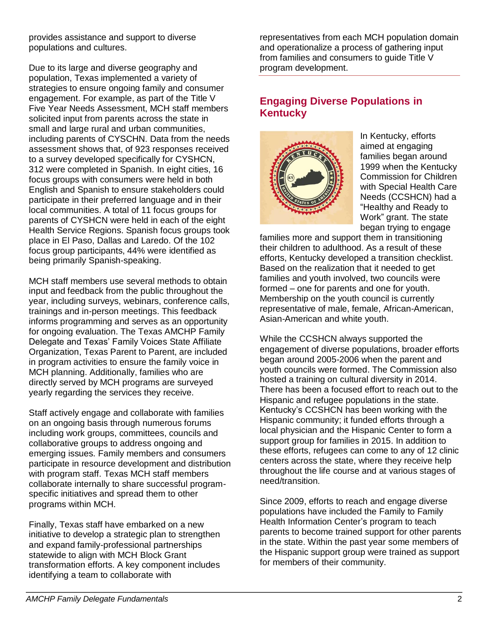provides assistance and support to diverse populations and cultures.

Due to its large and diverse geography and population, Texas implemented a variety of strategies to ensure ongoing family and consumer engagement. For example, as part of the Title V Five Year Needs Assessment, MCH staff members solicited input from parents across the state in small and large rural and urban communities, including parents of CYSCHN. Data from the needs assessment shows that, of 923 responses received to a survey developed specifically for CYSHCN, 312 were completed in Spanish. In eight cities, 16 focus groups with consumers were held in both English and Spanish to ensure stakeholders could participate in their preferred language and in their local communities. A total of 11 focus groups for parents of CYSHCN were held in each of the eight Health Service Regions. Spanish focus groups took place in El Paso, Dallas and Laredo. Of the 102 focus group participants, 44% were identified as being primarily Spanish-speaking.

MCH staff members use several methods to obtain input and feedback from the public throughout the year, including surveys, webinars, conference calls, trainings and in-person meetings. This feedback informs programming and serves as an opportunity for ongoing evaluation. The Texas AMCHP Family Delegate and Texas' Family Voices State Affiliate Organization, Texas Parent to Parent, are included in program activities to ensure the family voice in MCH planning. Additionally, families who are directly served by MCH programs are surveyed yearly regarding the services they receive.

Staff actively engage and collaborate with families on an ongoing basis through numerous forums including work groups, committees, councils and collaborative groups to address ongoing and emerging issues. Family members and consumers participate in resource development and distribution with program staff. Texas MCH staff members collaborate internally to share successful programspecific initiatives and spread them to other programs within MCH.

Finally, Texas staff have embarked on a new initiative to develop a strategic plan to strengthen and expand family-professional partnerships statewide to align with MCH Block Grant transformation efforts. A key component includes identifying a team to collaborate with

representatives from each MCH population domain and operationalize a process of gathering input from families and consumers to guide Title V program development.

# **Engaging Diverse Populations in Kentucky**



In Kentucky, efforts aimed at engaging families began around 1999 when the Kentucky Commission for Children with Special Health Care Needs (CCSHCN) had a "Healthy and Ready to Work" grant. The state began trying to engage

families more and support them in transitioning their children to adulthood. As a result of these efforts, Kentucky developed a transition checklist. Based on the realization that it needed to get families and youth involved, two councils were formed – one for parents and one for youth. Membership on the youth council is currently representative of male, female, African-American, Asian-American and white youth.

While the CCSHCN always supported the engagement of diverse populations, broader efforts began around 2005-2006 when the parent and youth councils were formed. The Commission also hosted a training on cultural diversity in 2014. There has been a focused effort to reach out to the Hispanic and refugee populations in the state. Kentucky's CCSHCN has been working with the Hispanic community; it funded efforts through a local physician and the Hispanic Center to form a support group for families in 2015. In addition to these efforts, refugees can come to any of 12 clinic centers across the state, where they receive help throughout the life course and at various stages of need/transition.

Since 2009, efforts to reach and engage diverse populations have included the Family to Family Health Information Center's program to teach parents to become trained support for other parents in the state. Within the past year some members of the Hispanic support group were trained as support for members of their community.